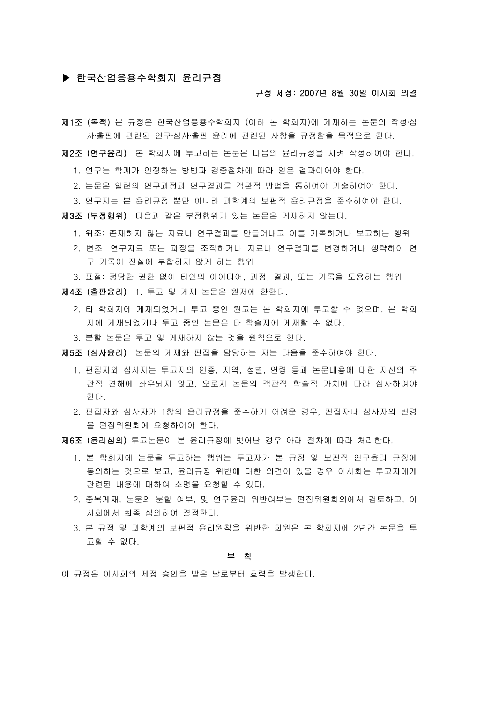# ▶ 한국산업응용수학회지 윤리규정

## 규정 제정: 2007년 8월 30일 이사회 의결

- 지1조 (목적) 본 규정은 한국산업응용수학회지 (이하 본 학회지)에 게재하는 논문의 작성·심 사․출판에 관련된 연구․심사․출판 윤리에 관련된 사항을 규정함을 목적으로 한다.
- 제2조 (연구윤리) 본 학회지에 투고하는 논문은 다음의 윤리규정을 지켜 작성하여야 한다.
	- 1. 연구는 학계가 인정하는 방법과 검증절차에 따라 얻은 결과이어야 한다.
	- 2. 논문은 일련의 연구과정과 연구결과를 객관적 방법을 통하여야 기술하여야 한다.
	- 3. 연구자는 본 윤리규정 뿐만 아니라 과학계의 보편적 윤리규정을 준수하여야 한다.
- 제3조 (부정행위) 다음과 같은 부정행위가 있는 논문은 게재하지 않는다.
	- 1. 위조: 존재하지 않는 자료나 연구결과를 만들어내고 이를 기록하거나 보고하는 행위
	- 2. 변조: 연구자료 또는 과정을 조작하거나 자료나 연구결과를 변경하거나 생략하여 연 구 기록이 진실에 부합하지 않게 하는 행위
	- 3. 표절: 정당한 권한 없이 타인의 아이디어, 과정, 결과, 또는 기록을 도용하는 행위
- 제4조 (출판윤리) 1. 투고 및 게재 논문은 원저에 한한다.
	- 2. 타 학회지에 게재되었거나 투고 중인 원고는 본 학회지에 투고할 수 없으며, 본 학회 지에 게재되었거나 투고 중인 논문은 타 학술지에 게재할 수 없다.
	- 3. 분할 논문은 투고 및 게재하지 않는 것을 원칙으로 한다.

제5조 (심사윤리) 논문의 게재와 편집을 담당하는 자는 다음을 준수하여야 한다.

- 1. 편집자와 심사자는 투고자의 인종, 지역, 성별, 연령 등과 논문내용에 대한 자신의 주 관적 견해에 좌우되지 않고, 오로지 논문의 객관적 학술적 가치에 따라 심사하여야 한다.
- 2. 편집자와 심사자가 1항의 윤리규정을 준수하기 어려운 경우, 편집자나 심사자의 변경 을 편집위원회에 요청하여야 한다.
- 제6조 (윤리심의) 투고논문이 본 윤리규정에 벗어난 경우 아래 절차에 따라 처리한다.
	- 1. 본 학회지에 논문을 투고하는 행위는 투고자가 본 규정 및 보편적 연구윤리 규정에 동의하는 것으로 보고, 윤리규정 위반에 대한 의견이 있을 경우 이사회는 투고자에게 관련된 내용에 대하여 소명을 요청할 수 있다.
	- 2. 중복게재, 논문의 분할 여부, 및 연구윤리 위반여부는 편집위원회의에서 검토하고, 이 사회에서 최종 심의하여 결정한다.
	- 3. 본 규정 및 과학계의 보편적 윤리원칙을 위반한 회원은 본 학회지에 2년간 논문을 투 고할 수 없다.

#### 부 칙

이 규정은 이사회의 제정 승인을 받은 날로부터 효력을 발생한다.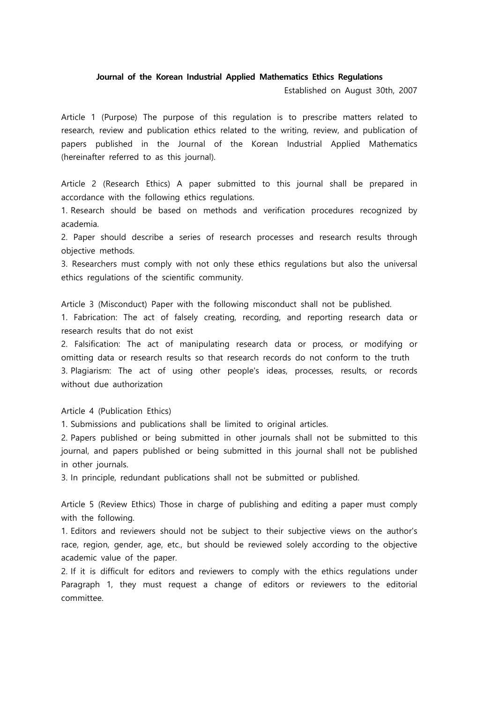## **Journal of the Korean Industrial Applied Mathematics Ethics Regulations**

Established on August 30th, 2007

Article 1 (Purpose) The purpose of this regulation is to prescribe matters related to research, review and publication ethics related to the writing, review, and publication of papers published in the Journal of the Korean Industrial Applied Mathematics (hereinafter referred to as this journal).

Article 2 (Research Ethics) A paper submitted to this journal shall be prepared in accordance with the following ethics regulations.

1. Research should be based on methods and verification procedures recognized by academia.

2. Paper should describe a series of research processes and research results through objective methods.

3. Researchers must comply with not only these ethics regulations but also the universal ethics regulations of the scientific community.

Article 3 (Misconduct) Paper with the following misconduct shall not be published.

1. Fabrication: The act of falsely creating, recording, and reporting research data or research results that do not exist

2. Falsification: The act of manipulating research data or process, or modifying or omitting data or research results so that research records do not conform to the truth 3. Plagiarism: The act of using other people's ideas, processes, results, or records without due authorization

Article 4 (Publication Ethics)

1. Submissions and publications shall be limited to original articles.

2. Papers published or being submitted in other journals shall not be submitted to this journal, and papers published or being submitted in this journal shall not be published in other journals.

3. In principle, redundant publications shall not be submitted or published.

Article 5 (Review Ethics) Those in charge of publishing and editing a paper must comply with the following.

1. Editors and reviewers should not be subject to their subjective views on the author's race, region, gender, age, etc., but should be reviewed solely according to the objective academic value of the paper.

2. If it is difficult for editors and reviewers to comply with the ethics regulations under Paragraph 1, they must request a change of editors or reviewers to the editorial committee.